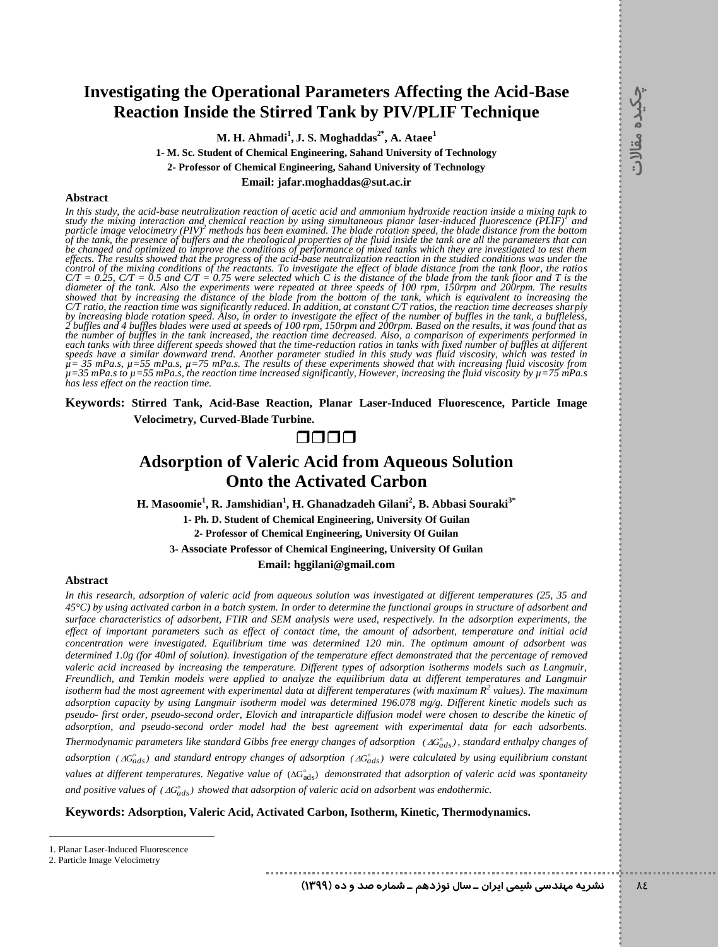### **Investigating the Operational Parameters Affecting the Acid-Base Reaction Inside the Stirred Tank by PIV/PLIF Technique**

**M. H. Ahmadi<sup>1</sup> , J. S. Moghaddas2\* , A. Ataee<sup>1</sup>**

**1- M. Sc. Student of Chemical Engineering, Sahand University of Technology** 

**2- Professor of Chemical Engineering, Sahand University of Technology**

**Email: jafar.moghaddas@sut.ac.ir**

#### **Abstract**

*In this study, the acid-base neutralization reaction of acetic acid and ammonium hydroxide reaction inside a mixing tank to*  study the mixing interaction and chemical reaction by using simultaneous planar laser-induced fluorescence (PLIF)<sup>1</sup> and<br>particle image velocimetry (PIV)<sup>2</sup> methods has been examined. The blade rotation speed, the blade di *of the tank, the presence of buffers and the rheological properties of the fluid inside the tank are all the parameters that can be changed and optimized to improve the conditions of performance of mixed tanks which they are investigated to test them effects. The results showed that the progress of the acid-base neutralization reaction in the studied conditions was under the control of the mixing conditions of the reactants. To investigate the effect of blade distance from the tank floor, the ratios C/T = 0.25, C/T = 0.5 and C/T = 0.75 were selected which C is the distance of the blade from the tank floor and T is the diameter of the tank. Also the experiments were repeated at three speeds of 100 rpm, 150rpm and 200rpm. The results showed that by increasing the distance of the blade from the bottom of the tank, which is equivalent to increasing the C/T ratio, the reaction time was significantly reduced. In addition, at constant C/T ratios, the reaction time decreases sharply by increasing blade rotation speed. Also, in order to investigate the effect of the number of buffles in the tank, a buffleless, 2 buffles and 4 buffles blades were used at speeds of 100 rpm, 150rpm and 200rpm. Based on the results, it was found that as the number of buffles in the tank increased, the reaction time decreased. Also, a comparison of experiments performed in each tanks with three different speeds showed that the time-reduction ratios in tanks with fixed number of buffles at different speeds have a similar downward trend. Another parameter studied in this study was fluid viscosity, which was tested in µ= 35 mPa.s, µ=55 mPa.s, µ=75 mPa.s. The results of these experiments showed that with increasing fluid viscosity from µ=35 mPa.s to µ=55 mPa.s, the reaction time increased significantly, However, increasing the fluid viscosity by µ=75 mPa.s has less effect on the reaction time.*

**Keywords: Stirred Tank, Acid-Base Reaction, Planar Laser-Induced Fluorescence, Particle Image Velocimetry, Curved-Blade Turbine.**

### 0000

## **Adsorption of Valeric Acid from Aqueous Solution Onto the Activated Carbon**

**H. Masoomie<sup>1</sup> , R. Jamshidian<sup>1</sup> , H. Ghanadzadeh Gilani<sup>2</sup> , B. Abbasi Souraki3\***

**1- Ph. D. Student of Chemical Engineering, University Of Guilan**

**2- Professor of Chemical Engineering, University Of Guilan**

**3- Associate Professor of Chemical Engineering, University Of Guilan**

**Email: hggilani@gmail.com**

#### **Abstract**

*In this research, adsorption of valeric acid from aqueous solution was investigated at different temperatures (25, 35 and 45°C) by using activated carbon in a batch system. In order to determine the functional groups in structure of adsorbent and surface characteristics of adsorbent, FTIR and SEM analysis were used, respectively. In the adsorption experiments, the effect of important parameters such as effect of contact time, the amount of adsorbent, temperature and initial acid concentration were investigated. Equilibrium time was determined 120 min. The optimum amount of adsorbent was determined 1.0g (for 40ml of solution). Investigation of the temperature effect demonstrated that the percentage of removed valeric acid increased by increasing the temperature. Different types of adsorption isotherms models such as Langmuir, Freundlich, and Temkin models were applied to analyze the equilibrium data at different temperatures and Langmuir isotherm had the most agreement with experimental data at different temperatures (with maximum R<sup>2</sup> values). The maximum adsorption capacity by using Langmuir isotherm model was determined 196.078 mg/g. Different kinetic models such as pseudo- first order, pseudo-second order, Elovich and intraparticle diffusion model were chosen to describe the kinetic of adsorption, and pseudo-second order model had the best agreement with experimental data for each adsorbents.*  Thermodynamic parameters like standard Gibbs free energy changes of adsorption ( $AG^{\circ}_{ads}$ ), standard enthalpy changes of adsorption ( $AG^{\circ}_{ads}$ ) and standard entropy changes of adsorption ( $AG^{\circ}_{ads}$ ) were calculated by using equilibrium constant values at different temperatures. Negative value of ( $\Delta G_{ads}^{\circ}$ ) demonstrated that adsorption of valeric acid was spontaneity and positive values of  $(AG_{ads}^{\circ})$  showed that adsorption of valeric acid on adsorbent was endothermic.

**Keywords: Adsorption, Valeric Acid, Activated Carbon, Isotherm, Kinetic, Thermodynamics.**

48 **نشريه مهندسي شيمي ايران ـ سال نوزدهم ـ شماره صد و ده )9311(**

<sup>1.</sup> Planar Laser-Induced Fluorescence

<sup>2.</sup> Particle Image Velocimetry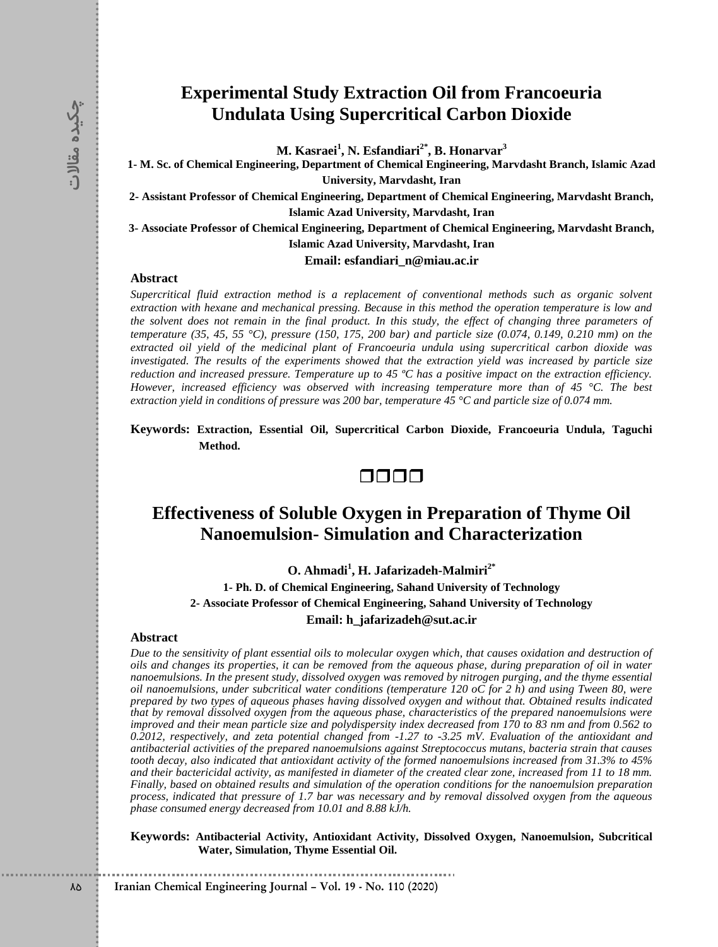## **Experimental Study Extraction Oil from Francoeuria Undulata Using Supercritical Carbon Dioxide**

**M. Kasraei<sup>1</sup> , N. Esfandiari2\* , B. Honarvar<sup>3</sup>**

**1- M. Sc. of Chemical Engineering, Department of Chemical Engineering, Marvdasht Branch, Islamic Azad University, Marvdasht, Iran**

**2- Assistant Professor of Chemical Engineering, Department of Chemical Engineering, Marvdasht Branch, Islamic Azad University, Marvdasht, Iran**

**3- Associate Professor of Chemical Engineering, Department of Chemical Engineering, Marvdasht Branch, Islamic Azad University, Marvdasht, Iran**

**Email: esfandiari\_n@miau.ac.ir**

### **Abstract**

*Supercritical fluid extraction method is a replacement of conventional methods such as organic solvent extraction with hexane and mechanical pressing. Because in this method the operation temperature is low and the solvent does not remain in the final product. In this study, the effect of changing three parameters of temperature (35, 45, 55 °C), pressure (150, 175, 200 bar) and particle size (0.074, 0.149, 0.210 mm) on the extracted oil yield of the medicinal plant of Francoeuria undula using supercritical carbon dioxide was investigated. The results of the experiments showed that the extraction yield was increased by particle size reduction and increased pressure. Temperature up to 45 ºC has a positive impact on the extraction efficiency. However, increased efficiency was observed with increasing temperature more than of 45 °C. The best extraction yield in conditions of pressure was 200 bar, temperature 45 °C and particle size of 0.074 mm.*

**Keywords: Extraction, Essential Oil, Supercritical Carbon Dioxide, Francoeuria Undula, Taguchi Method.**



# **Effectiveness of Soluble Oxygen in Preparation of Thyme Oil Nanoemulsion- Simulation and Characterization**

**O. Ahmadi<sup>1</sup> , H. Jafarizadeh-Malmiri2\***

**1- Ph. D. of Chemical Engineering, Sahand University of Technology 2- Associate Professor of Chemical Engineering, Sahand University of Technology**

### **Email: h\_jafarizadeh@sut.ac.ir**

#### **Abstract**

**IFFRIGRE 10 IFFRIGRE 10 IFFRIGRE 10 IFFRIGRE 2020 IFFRIGRE 2020 IFFRIGRE 2020 IFFRIGRE 2020 Chemical Engineering Department of Chemical Engineering Department of Chemical Engineering Department of Chemical** *Due to the sensitivity of plant essential oils to molecular oxygen which, that causes oxidation and destruction of oils and changes its properties, it can be removed from the aqueous phase, during preparation of oil in water nanoemulsions. In the present study, dissolved oxygen was removed by nitrogen purging, and the thyme essential oil nanoemulsions, under subcritical water conditions (temperature 120 oC for 2 h) and using Tween 80, were prepared by two types of aqueous phases having dissolved oxygen and without that. Obtained results indicated that by removal dissolved oxygen from the aqueous phase, characteristics of the prepared nanoemulsions were improved and their mean particle size and polydispersity index decreased from 170 to 83 nm and from 0.562 to 0.2012, respectively, and zeta potential changed from -1.27 to -3.25 mV. Evaluation of the antioxidant and antibacterial activities of the prepared nanoemulsions against Streptococcus mutans, bacteria strain that causes tooth decay, also indicated that antioxidant activity of the formed nanoemulsions increased from 31.3% to 45% and their bactericidal activity, as manifested in diameter of the created clear zone, increased from 11 to 18 mm. Finally, based on obtained results and simulation of the operation conditions for the nanoemulsion preparation process, indicated that pressure of 1.7 bar was necessary and by removal dissolved oxygen from the aqueous phase consumed energy decreased from 10.01 and 8.88 kJ/h.* 

**Keywords: Antibacterial Activity, Antioxidant Activity, Dissolved Oxygen, Nanoemulsion, Subcritical Water, Simulation, Thyme Essential Oil.**